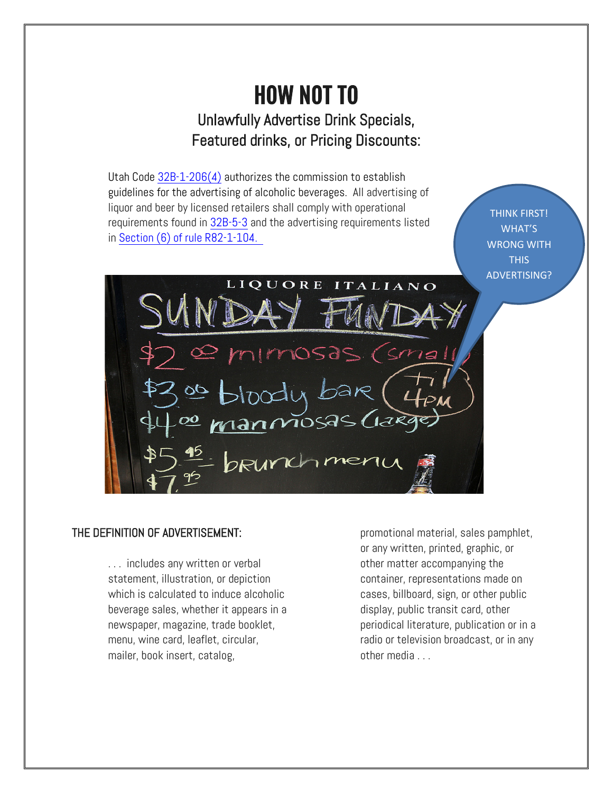# HOW NOT TO Unlawfully Advertise Drink Specials, Featured drinks, or Pricing Discounts:

Utah Code [32B-1-206\(4\)](https://le.utah.gov/xcode/Title32B/Chapter1/32B-1-S206.html?v=C32B-1-S206_1800010118000101) authorizes the commission to establish guidelines for the advertising of alcoholic beverages. All advertising of liquor and beer by licensed retailers shall comply with operational requirements found in [32B-5-3](https://le.utah.gov/xcode/Title32B/Chapter5/32B-5-S305.html?v=C32B-5-S305_1800010118000101) and the advertising requirements listed in [Section \(6\) of rule](https://rules.utah.gov/publicat/code/r081/r081-01.htm) R82-1-104.

THINK FIRST! WHAT'S WRONG WITH THIS ADVERTISING?



#### THE DEFINITION OF ADVERTISEMENT:

. . . includes any written or verbal statement, illustration, or depiction which is calculated to induce alcoholic beverage sales, whether it appears in a newspaper, magazine, trade booklet, menu, wine card, leaflet, circular, mailer, book insert, catalog,

promotional material, sales pamphlet, or any written, printed, graphic, or other matter accompanying the container, representations made on cases, billboard, sign, or other public display, public transit card, other periodical literature, publication or in a radio or television broadcast, or in any other media . . .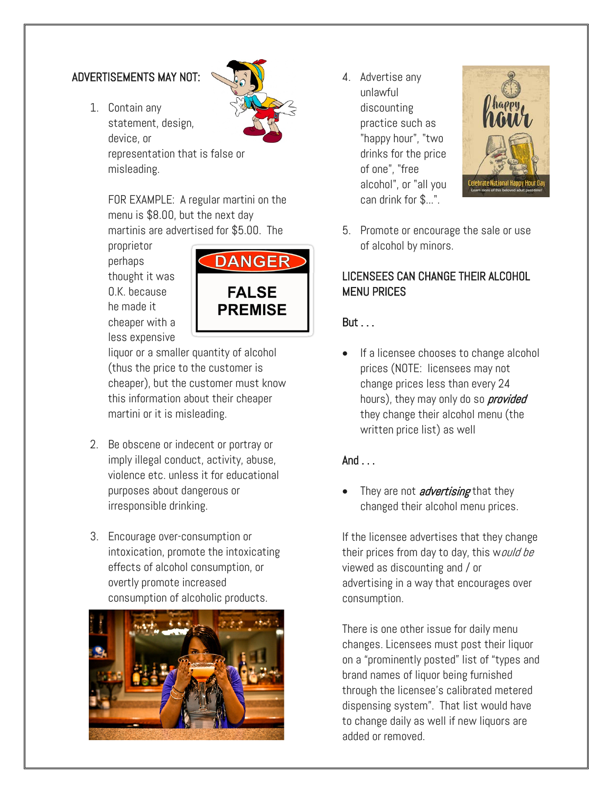#### ADVERTISEMENTS MAY NOT:

1. Contain any statement, design, device, or representation that is false or misleading.

> FOR EXAMPLE: A regular martini on the menu is \$8.00, but the next day martinis are advertised for \$5.00. The

proprietor perhaps thought it was O.K. because he made it cheaper with a less expensive



liquor or a smaller quantity of alcohol (thus the price to the customer is cheaper), but the customer must know this information about their cheaper martini or it is misleading.

- 2. Be obscene or indecent or portray or imply illegal conduct, activity, abuse, violence etc. unless it for educational purposes about dangerous or irresponsible drinking.
- 3. Encourage over-consumption or intoxication, promote the intoxicating effects of alcohol consumption, or overtly promote increased consumption of alcoholic products.



4. Advertise any unlawful discounting practice such as "happy hour", "two drinks for the price of one", "free alcohol", or "all you can drink for \$...".



5. Promote or encourage the sale or use of alcohol by minors.

### LICENSEES CAN CHANGE THEIR ALCOHOL MENU PRICES

But . . .

If a licensee chooses to change alcohol prices (NOTE: licensees may not change prices less than every 24 hours), they may only do so *provided* they change their alcohol menu (the written price list) as well

#### $And$ ...

They are not *advertising* that they changed their alcohol menu prices.

If the licensee advertises that they change their prices from day to day, this would be viewed as discounting and / or advertising in a way that encourages over consumption.

There is one other issue for daily menu changes. Licensees must post their liquor on a "prominently posted" list of "types and brand names of liquor being furnished through the licensee's calibrated metered dispensing system". That list would have to change daily as well if new liquors are added or removed.